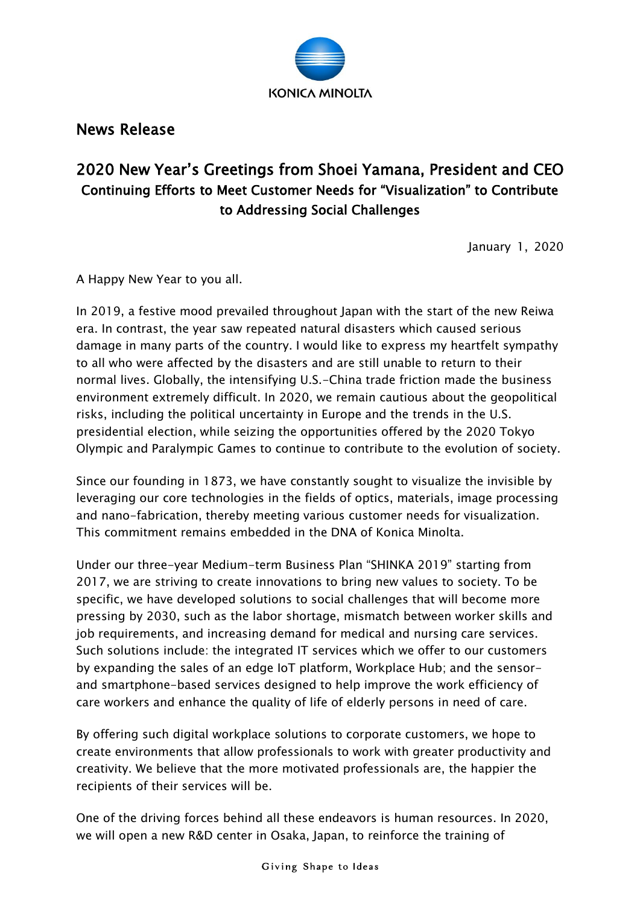

News Release

## 2020 New Year's Greetings from Shoei Yamana, President and CEO Continuing Efforts to Meet Customer Needs for "Visualization" to Contribute to Addressing Social Challenges

January 1, 2020

A Happy New Year to you all.

In 2019, a festive mood prevailed throughout Japan with the start of the new Reiwa era. In contrast, the year saw repeated natural disasters which caused serious damage in many parts of the country. I would like to express my heartfelt sympathy to all who were affected by the disasters and are still unable to return to their normal lives. Globally, the intensifying U.S.-China trade friction made the business environment extremely difficult. In 2020, we remain cautious about the geopolitical risks, including the political uncertainty in Europe and the trends in the U.S. presidential election, while seizing the opportunities offered by the 2020 Tokyo Olympic and Paralympic Games to continue to contribute to the evolution of society.

Since our founding in 1873, we have constantly sought to visualize the invisible by leveraging our core technologies in the fields of optics, materials, image processing and nano-fabrication, thereby meeting various customer needs for visualization. This commitment remains embedded in the DNA of Konica Minolta.

Under our three-year Medium-term Business Plan "SHINKA 2019" starting from 2017, we are striving to create innovations to bring new values to society. To be specific, we have developed solutions to social challenges that will become more pressing by 2030, such as the labor shortage, mismatch between worker skills and job requirements, and increasing demand for medical and nursing care services. Such solutions include: the integrated IT services which we offer to our customers by expanding the sales of an edge IoT platform, Workplace Hub; and the sensorand smartphone-based services designed to help improve the work efficiency of care workers and enhance the quality of life of elderly persons in need of care.

By offering such digital workplace solutions to corporate customers, we hope to create environments that allow professionals to work with greater productivity and creativity. We believe that the more motivated professionals are, the happier the recipients of their services will be.

One of the driving forces behind all these endeavors is human resources. In 2020, we will open a new R&D center in Osaka, Japan, to reinforce the training of